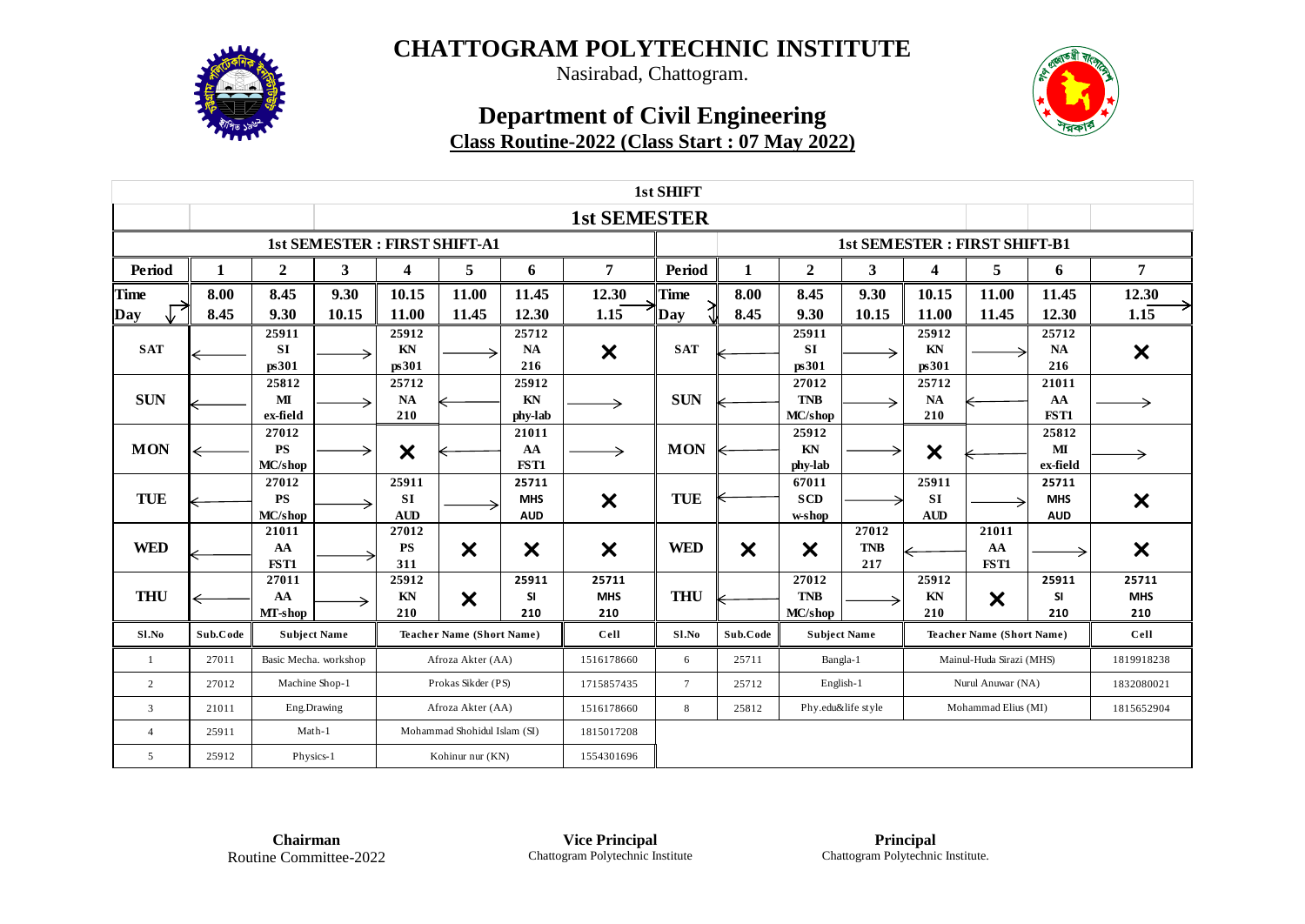

Nasirabad, Chattogram.

## **Department of Civil Engineering Class Routine-2022 (Class Start : 07 May 2022)**



|                |                                     |                               |       |                                  |                                  |                                   |                            | 1st SHIFT      |                           |                                |                                                         |                                  |                                     |                                   |                            |
|----------------|-------------------------------------|-------------------------------|-------|----------------------------------|----------------------------------|-----------------------------------|----------------------------|----------------|---------------------------|--------------------------------|---------------------------------------------------------|----------------------------------|-------------------------------------|-----------------------------------|----------------------------|
|                | <b>1st SEMESTER</b>                 |                               |       |                                  |                                  |                                   |                            |                |                           |                                |                                                         |                                  |                                     |                                   |                            |
|                | <b>1st SEMESTER: FIRST SHIFT-A1</b> |                               |       |                                  |                                  |                                   |                            |                |                           |                                |                                                         |                                  | <b>1st SEMESTER: FIRST SHIFT-B1</b> |                                   |                            |
| Period         | 1                                   | $\overline{2}$                | 3     | $\overline{\mathbf{4}}$          | 5                                | 6                                 | 7                          | Period         |                           | $\overline{2}$                 | 3                                                       | 4                                | 5                                   | 6                                 | 7                          |
| Time           | 8.00                                | 8.45                          | 9.30  | 10.15                            | 11.00                            | 11.45                             | 12.30                      | <b>Time</b>    | 8.00                      | 8.45                           | 9.30                                                    | 10.15                            | 11.00                               | 11.45                             | 12.30                      |
| Day            | 8.45                                | 9.30                          | 10.15 | 11.00                            | 11.45                            | 12.30                             | 1.15                       | Day            | 8.45                      | 9.30                           | 10.15                                                   | 11.00                            | 11.45                               | 12.30                             | 1.15                       |
| <b>SAT</b>     |                                     | 25911<br><b>SI</b><br>ps301   |       | 25912<br>KN<br>ps301             |                                  | 25712<br><b>NA</b><br>216         | $\bm{\times}$              | <b>SAT</b>     |                           | 25911<br><b>SI</b><br>ps301    | →                                                       | 25912<br>KN<br>ps301             |                                     | 25712<br>NA<br>216                | $\boldsymbol{\mathsf{x}}$  |
| <b>SUN</b>     |                                     | 25812<br>MI<br>ex-field       |       | 25712<br><b>NA</b><br>210        |                                  | 25912<br>KN<br>phy-lab            |                            | <b>SUN</b>     |                           | 27012<br><b>TNB</b><br>MC/shop | →                                                       | 25712<br><b>NA</b><br>210        |                                     | 21011<br>AA<br>FST1               |                            |
| <b>MON</b>     | ←                                   | 27012<br><b>PS</b><br>MC/shop |       | $\boldsymbol{\mathsf{x}}$        |                                  | 21011<br>AA<br>FST1               |                            | <b>MON</b>     |                           | 25912<br>KN<br>phy-lab         |                                                         | $\boldsymbol{\mathsf{x}}$        |                                     | 25812<br>MI<br>ex-field           |                            |
| <b>TUE</b>     |                                     | 27012<br><b>PS</b><br>MC/shop |       | 25911<br><b>SI</b><br><b>AUD</b> |                                  | 25711<br><b>MHS</b><br><b>AUD</b> | $\boldsymbol{\mathsf{x}}$  | TUE            |                           | 67011<br><b>SCD</b><br>w-shop  |                                                         | 25911<br><b>SI</b><br><b>AUD</b> |                                     | 25711<br><b>MHS</b><br><b>AUD</b> | $\boldsymbol{\mathsf{x}}$  |
| <b>WED</b>     |                                     | 21011<br>AA<br>FST1           |       | 27012<br><b>PS</b><br>311        | $\bm{\times}$                    | X                                 | $\boldsymbol{\mathsf{x}}$  | <b>WED</b>     | $\boldsymbol{\mathsf{x}}$ | X                              | 27012<br><b>TNB</b><br>217                              |                                  | 21011<br>AA<br>FST1                 |                                   | $\boldsymbol{\mathsf{x}}$  |
| <b>THU</b>     |                                     | 27011<br>AA<br>MT-shop        |       | 25912<br>KN<br>210               | X                                | 25911<br><b>SI</b><br>210         | 25711<br><b>MHS</b><br>210 | <b>THU</b>     |                           | 27012<br><b>TNB</b><br>MC/shop |                                                         | 25912<br>KN<br>210               | X                                   | 25911<br><b>SI</b><br>210         | 25711<br><b>MHS</b><br>210 |
| Sl.No          | Sub.Code                            | <b>Subject Name</b>           |       |                                  | <b>Teacher Name (Short Name)</b> |                                   | Cell                       | Sl.No          | Sub.Code                  | <b>Subject Name</b>            |                                                         |                                  | <b>Teacher Name (Short Name)</b>    | Cell                              |                            |
| -1             | 27011                               | Basic Mecha. workshop         |       |                                  | Afroza Akter (AA)                |                                   | 1516178660                 | 6              | 25711                     | Bangla-1                       |                                                         |                                  | Mainul-Huda Sirazi (MHS)            |                                   | 1819918238                 |
| 2              | 27012                               | Machine Shop-1                |       |                                  | Prokas Sikder (PS)               |                                   | 1715857435                 | $\overline{7}$ | 25712                     | English-1                      |                                                         |                                  | Nurul Anuwar (NA)                   |                                   | 1832080021                 |
| 3              | 21011                               | Eng.Drawing                   |       | Afroza Akter (AA)                |                                  |                                   | 1516178660                 | 8              | 25812                     |                                | Phy.edu&life style<br>Mohammad Elius (MI)<br>1815652904 |                                  |                                     |                                   |                            |
| $\overline{4}$ | 25911                               | Math-1                        |       |                                  | Mohammad Shohidul Islam (SI)     |                                   | 1815017208                 |                |                           |                                |                                                         |                                  |                                     |                                   |                            |
| 5              | 25912                               | Physics-1                     |       | Kohinur nur (KN)                 |                                  | 1554301696                        |                            |                |                           |                                |                                                         |                                  |                                     |                                   |                            |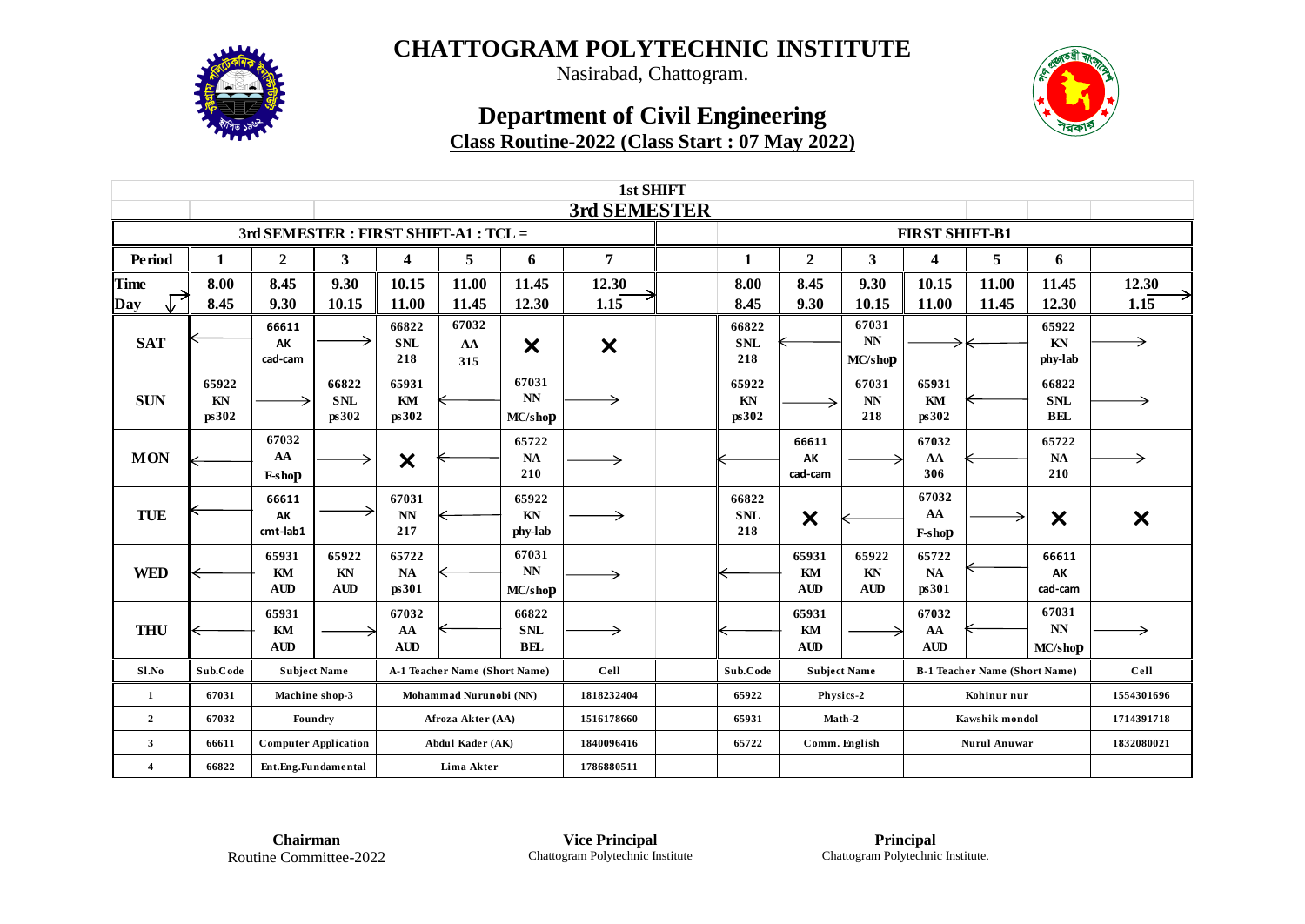

Nasirabad, Chattogram.

## **Department of Civil Engineering Class Routine-2022 (Class Start : 07 May 2022)**



| 1st SHIFT                           |          |                             |             |                               |                               |                                 |                           |  |                     |                           |                     |                         |                                      |                           |                           |
|-------------------------------------|----------|-----------------------------|-------------|-------------------------------|-------------------------------|---------------------------------|---------------------------|--|---------------------|---------------------------|---------------------|-------------------------|--------------------------------------|---------------------------|---------------------------|
|                                     |          |                             |             |                               |                               |                                 | 3rd SEMESTER              |  |                     |                           |                     | <b>FIRST SHIFT-B1</b>   |                                      |                           |                           |
| 3rd SEMESTER: FIRST SHIFT-A1: TCL = |          |                             |             |                               |                               |                                 |                           |  |                     |                           |                     |                         |                                      |                           |                           |
| Period                              | 1        | $\overline{2}$              | 3           | $\overline{\mathbf{4}}$       | 5                             | 6                               | 7                         |  | 1                   | $\mathbf{2}$              | 3                   | $\overline{\mathbf{4}}$ | 5                                    | 6                         |                           |
| <b>Time</b>                         | 8.00     | 8.45                        | 9.30        | 10.15                         | 11.00                         | 11.45                           | 12.30                     |  | 8.00                | 8.45                      | 9.30                | 10.15                   | 11.00                                | 11.45                     | 12.30                     |
| Day                                 | 8.45     | 9.30                        | 10.15       | 11.00                         | 11.45                         | 12.30                           | 1.15                      |  | 8.45                | 9.30                      | 10.15               | 11.00                   | 11.45                                | 12.30                     | 1.15                      |
| <b>SAT</b>                          |          | 66611<br>AK                 |             | 66822<br><b>SNL</b>           | 67032                         |                                 |                           |  | 66822<br><b>SNL</b> |                           | 67031<br>NN         |                         |                                      | 65922<br>KN               |                           |
|                                     |          | cad-cam                     |             | 218                           | AA<br>315                     | $\boldsymbol{\mathsf{x}}$       | $\boldsymbol{\mathsf{x}}$ |  | 218                 |                           | MC/shop             |                         |                                      | phy-lab                   |                           |
|                                     | 65922    |                             | 66822       | 65931                         |                               | 67031                           |                           |  | 65922               |                           | 67031               | 65931                   |                                      | 66822                     |                           |
| <b>SUN</b>                          | KN       |                             | <b>SNL</b>  | KM                            |                               | $\mathbf{N}\mathbf{N}$          | →                         |  | KN                  |                           | NN                  | KM                      |                                      | <b>SNL</b>                |                           |
|                                     | ps302    |                             | ps302       | ps302                         |                               | MC/shop                         |                           |  | ps302               |                           | 218                 | ps302                   |                                      | <b>BEL</b>                |                           |
|                                     |          | 67032<br>AA                 |             |                               |                               | 65722                           |                           |  |                     | 66611<br>AK               |                     | 67032                   |                                      | 65722<br>$\mathbf{NA}$    |                           |
| <b>MON</b>                          |          | F-shop                      |             | $\boldsymbol{\mathsf{x}}$     |                               | NA<br>210                       | →                         |  |                     | cad-cam                   |                     | AA<br>306               |                                      | 210                       |                           |
|                                     |          | 66611                       |             | 67031                         |                               | 65922                           |                           |  | 66822               |                           |                     | 67032                   |                                      |                           |                           |
| <b>TUE</b>                          |          | AK<br>cmt-lab1              |             | $\mathbf{N}\mathbf{N}$<br>217 |                               | KN                              | →                         |  | <b>SNL</b><br>218   | $\boldsymbol{\mathsf{x}}$ |                     | AA                      | →                                    | $\boldsymbol{\mathsf{x}}$ | $\boldsymbol{\mathsf{x}}$ |
|                                     |          |                             |             |                               |                               | phy-lab                         |                           |  |                     |                           |                     | F-shop                  |                                      |                           |                           |
| <b>WED</b>                          |          | 65931<br>KM                 | 65922<br>KN | 65722<br><b>NA</b>            |                               | 67031<br>$\mathbf{N}\mathbf{N}$ |                           |  |                     | 65931<br>KM               | 65922<br>KN         | 65722<br><b>NA</b>      |                                      | 66611<br>AK               |                           |
|                                     |          | <b>AUD</b>                  | <b>AUD</b>  | ps301                         |                               | MC/shop                         | →                         |  |                     | <b>AUD</b>                | AUD                 | ps301                   |                                      | cad-cam                   |                           |
|                                     |          | 65931                       |             | 67032                         |                               | 66822                           |                           |  |                     | 65931                     |                     | 67032                   |                                      | 67031                     |                           |
| <b>THU</b>                          |          | KM                          |             | AA                            |                               | <b>SNL</b>                      |                           |  |                     | KM                        |                     | AA                      |                                      | $\mathbf{N}\mathbf{N}$    |                           |
|                                     |          | <b>AUD</b>                  |             | <b>AUD</b>                    |                               | BEL                             |                           |  |                     | <b>AUD</b>                |                     | <b>AUD</b>              |                                      | MC/shop                   |                           |
| Sl.No                               | Sub.Code | <b>Subject Name</b>         |             |                               | A-1 Teacher Name (Short Name) |                                 | Cell                      |  | Sub.Code            |                           | <b>Subject Name</b> |                         | <b>B-1 Teacher Name (Short Name)</b> | Cell                      |                           |
| 1                                   | 67031    | Machine shop-3              |             |                               | Mohammad Nurunobi (NN)        |                                 | 1818232404                |  | 65922               |                           | Physics-2           |                         | Kohinur nur                          |                           | 1554301696                |
| $\overline{2}$                      | 67032    | Foundry                     |             | Afroza Akter (AA)             |                               |                                 | 1516178660                |  | 65931               | Math-2                    |                     |                         | Kawshik mondol                       | 1714391718                |                           |
| $\mathbf{3}$                        | 66611    | <b>Computer Application</b> |             |                               | <b>Abdul Kader (AK)</b>       |                                 | 1840096416                |  | 65722               |                           | Comm. English       |                         | <b>Nurul Anuwar</b>                  | 1832080021                |                           |
| $\overline{4}$                      | 66822    | Ent.Eng.Fundamental         |             | Lima Akter                    |                               |                                 | 1786880511                |  |                     |                           |                     |                         |                                      |                           |                           |

**Chairman** Routine Committee-2022

**Vice Principal** Chattogram Polytechnic Institute

**Principal** Chattogram Polytechnic Institute.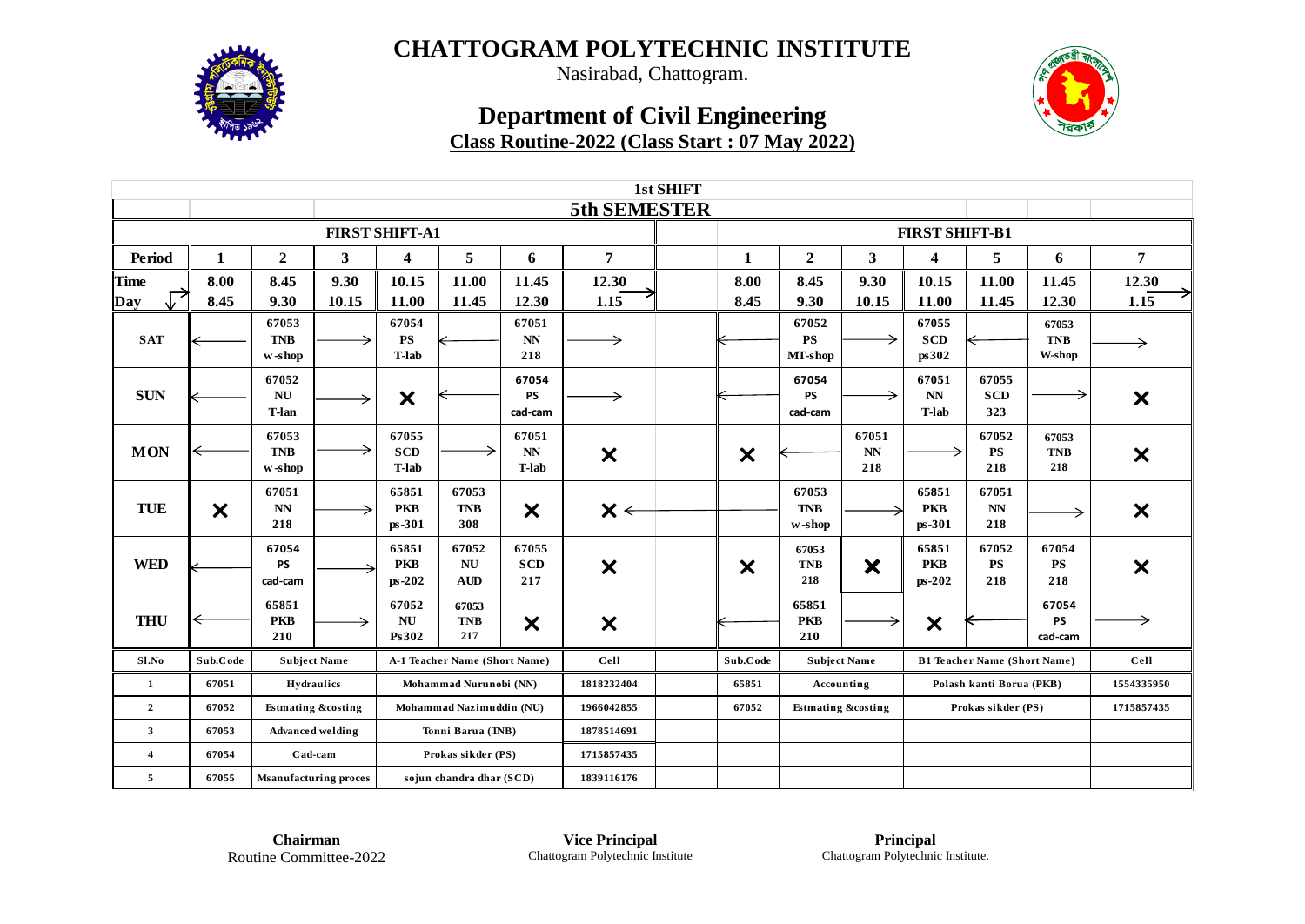

Nasirabad, Chattogram.

## **Department of Civil Engineering Class Routine-2022 (Class Start : 07 May 2022)**



|                |                           |                                    |                         |                                          |                                  |                                        |                           | 1st SHIFT |                           |                               |                               |                                                 |                                     |                               |                           |
|----------------|---------------------------|------------------------------------|-------------------------|------------------------------------------|----------------------------------|----------------------------------------|---------------------------|-----------|---------------------------|-------------------------------|-------------------------------|-------------------------------------------------|-------------------------------------|-------------------------------|---------------------------|
|                |                           |                                    |                         |                                          |                                  |                                        | 5th SEMESTER              |           |                           |                               |                               |                                                 |                                     |                               |                           |
|                |                           |                                    |                         | <b>FIRST SHIFT-A1</b>                    |                                  |                                        |                           |           |                           |                               |                               | <b>FIRST SHIFT-B1</b>                           |                                     |                               |                           |
| <b>Period</b>  | 1                         | $\mathbf{2}$                       | 3                       | $\overline{\mathbf{4}}$                  | 5                                | 6                                      | $\overline{7}$            |           | 1                         | $\boldsymbol{2}$              | 3                             | 4                                               | 5                                   | 6                             | $\overline{7}$            |
| <b>Time</b>    | 8.00                      | 8.45                               | 9.30                    | 10.15                                    | 11.00                            | 11.45                                  | 12.30                     |           | 8.00                      | 8.45                          | 9.30                          | 10.15                                           | 11.00                               | 11.45                         | 12.30                     |
| Day            | 8.45                      | 9.30                               | 10.15                   | 11.00                                    | 11.45                            | 12.30                                  | 1.15                      |           | 8.45                      | 9.30                          | 10.15                         | 11.00                                           | 11.45                               | 12.30                         | 1.15                      |
| <b>SAT</b>     |                           | 67053<br><b>TNB</b><br>w-shop      |                         | 67054<br><b>PS</b><br><b>T-lab</b>       |                                  | 67051<br>$\mathbf{N}\mathbf{N}$<br>218 |                           |           |                           | 67052<br><b>PS</b><br>MT-shop |                               | 67055<br><b>SCD</b><br>ps302                    |                                     | 67053<br><b>TNB</b><br>W-shop | →                         |
| <b>SUN</b>     |                           | 67052<br><b>NU</b><br><b>T-lan</b> |                         | $\boldsymbol{\mathsf{x}}$                |                                  | 67054<br><b>PS</b><br>cad-cam          |                           |           |                           | 67054<br><b>PS</b><br>cad-cam |                               | 67051<br>$\mathbf{N}\mathbf{N}$<br><b>T-lab</b> | 67055<br><b>SCD</b><br>323          |                               | $\boldsymbol{\mathsf{x}}$ |
| <b>MON</b>     |                           | 67053<br><b>TNB</b><br>w-shop      |                         | 67055<br><b>SCD</b><br><b>T-lab</b>      |                                  | 67051<br>NN<br><b>T-lab</b>            | $\boldsymbol{\mathsf{x}}$ |           | $\boldsymbol{\mathsf{x}}$ |                               | 67051<br>NN<br>218            |                                                 | 67052<br><b>PS</b><br>218           | 67053<br><b>TNB</b><br>218    | $\boldsymbol{\mathsf{x}}$ |
| <b>TUE</b>     | $\boldsymbol{\mathsf{x}}$ | 67051<br><b>NN</b><br>218          |                         | 65851<br><b>PKB</b><br>ps-301            | 67053<br><b>TNB</b><br>308       | $\boldsymbol{\mathsf{x}}$              | $\mathsf{X} \leftarrow$   |           |                           | 67053<br><b>TNB</b><br>w-shop |                               | 65851<br><b>PKB</b><br>ps-301                   | 67051<br><b>NN</b><br>218           | →                             | $\boldsymbol{\mathsf{x}}$ |
| <b>WED</b>     |                           | 67054<br><b>PS</b><br>cad-cam      |                         | 65851<br><b>PKB</b><br>$ps-202$          | 67052<br><b>NU</b><br><b>AUD</b> | 67055<br><b>SCD</b><br>217             | $\boldsymbol{\mathsf{x}}$ |           | X                         | 67053<br><b>TNB</b><br>218    | $\bm{\times}$                 | 65851<br><b>PKB</b><br>$ps-202$                 | 67052<br><b>PS</b><br>218           | 67054<br><b>PS</b><br>218     | $\boldsymbol{\mathsf{x}}$ |
| <b>THU</b>     | ⇐                         | 65851<br><b>PKB</b><br>210         |                         | 67052<br>$\mathbf{N}\mathbf{U}$<br>Ps302 | 67053<br><b>TNB</b><br>217       | $\boldsymbol{\mathsf{x}}$              | $\boldsymbol{\mathsf{x}}$ |           |                           | 65851<br><b>PKB</b><br>210    |                               | $\boldsymbol{\mathsf{x}}$                       |                                     | 67054<br><b>PS</b><br>cad-cam | →                         |
| Sl.No          | Sub.Code                  | <b>Subject Name</b>                |                         |                                          | A-1 Teacher Name (Short Name)    |                                        | Cell                      |           | Sub.Code                  | <b>Subject Name</b>           |                               |                                                 | <b>B1 Teacher Name (Short Name)</b> |                               | Cell                      |
| 1              | 67051                     |                                    | Hydraulics              |                                          | Mohammad Nurunobi (NN)           |                                        | 1818232404                |           | 65851                     | Accounting                    |                               |                                                 | Polash kanti Borua (PKB)            |                               | 1554335950                |
| $\overline{2}$ | 67052                     | <b>Estmating &amp;costing</b>      |                         |                                          | Mohammad Nazimuddin (NU)         |                                        | 1966042855                |           | 67052                     |                               | <b>Estmating &amp;costing</b> | Prokas sikder (PS)                              |                                     |                               | 1715857435                |
| $\mathbf{3}$   | 67053                     |                                    | <b>Advanced welding</b> |                                          | Tonni Barua (TNB)                |                                        | 1878514691                |           |                           |                               |                               |                                                 |                                     |                               |                           |
| $\overline{4}$ | 67054                     | Cad-cam                            |                         |                                          | Prokas sikder (PS)               |                                        | 1715857435                |           |                           |                               |                               |                                                 |                                     |                               |                           |
| 5              | 67055                     | <b>Msanufacturing proces</b>       |                         | sojun chandra dhar (SCD)                 |                                  |                                        | 1839116176                |           |                           |                               |                               |                                                 |                                     |                               |                           |

**Chairman** Routine Committee-2022

**Vice Principal** Chattogram Polytechnic Institute

**Principal** Chattogram Polytechnic Institute.